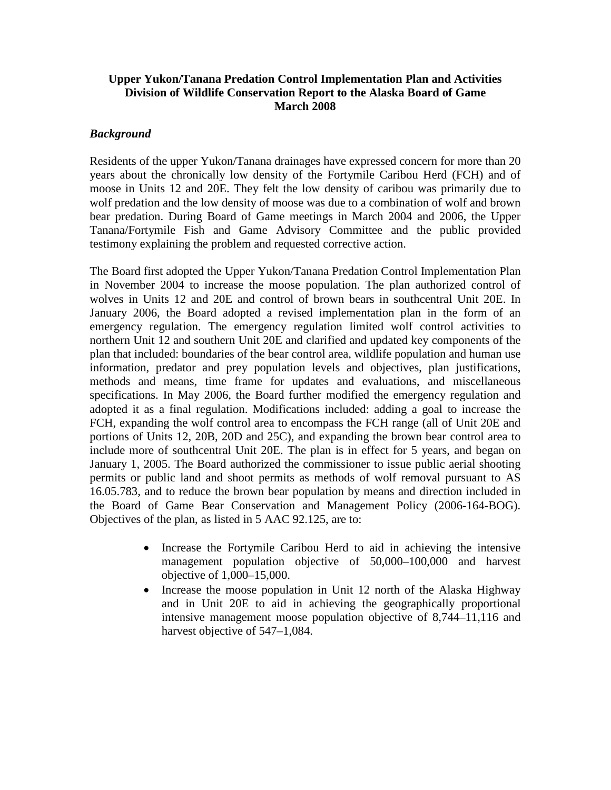# **Upper Yukon/Tanana Predation Control Implementation Plan and Activities Division of Wildlife Conservation Report to the Alaska Board of Game March 2008**

## *Background*

Residents of the upper Yukon/Tanana drainages have expressed concern for more than 20 years about the chronically low density of the Fortymile Caribou Herd (FCH) and of moose in Units 12 and 20E. They felt the low density of caribou was primarily due to wolf predation and the low density of moose was due to a combination of wolf and brown bear predation. During Board of Game meetings in March 2004 and 2006, the Upper Tanana/Fortymile Fish and Game Advisory Committee and the public provided testimony explaining the problem and requested corrective action.

The Board first adopted the Upper Yukon/Tanana Predation Control Implementation Plan in November 2004 to increase the moose population. The plan authorized control of wolves in Units 12 and 20E and control of brown bears in southcentral Unit 20E. In January 2006, the Board adopted a revised implementation plan in the form of an emergency regulation. The emergency regulation limited wolf control activities to northern Unit 12 and southern Unit 20E and clarified and updated key components of the plan that included: boundaries of the bear control area, wildlife population and human use information, predator and prey population levels and objectives, plan justifications, methods and means, time frame for updates and evaluations, and miscellaneous specifications. In May 2006, the Board further modified the emergency regulation and adopted it as a final regulation. Modifications included: adding a goal to increase the FCH, expanding the wolf control area to encompass the FCH range (all of Unit 20E and portions of Units 12, 20B, 20D and 25C), and expanding the brown bear control area to include more of southcentral Unit 20E. The plan is in effect for 5 years, and began on January 1, 2005. The Board authorized the commissioner to issue public aerial shooting permits or public land and shoot permits as methods of wolf removal pursuant to AS 16.05.783, and to reduce the brown bear population by means and direction included in the Board of Game Bear Conservation and Management Policy (2006-164-BOG). Objectives of the plan, as listed in 5 AAC 92.125, are to:

- Increase the Fortymile Caribou Herd to aid in achieving the intensive management population objective of 50,000–100,000 and harvest objective of 1,000–15,000.
- Increase the moose population in Unit 12 north of the Alaska Highway and in Unit 20E to aid in achieving the geographically proportional intensive management moose population objective of 8,744–11,116 and harvest objective of 547–1,084.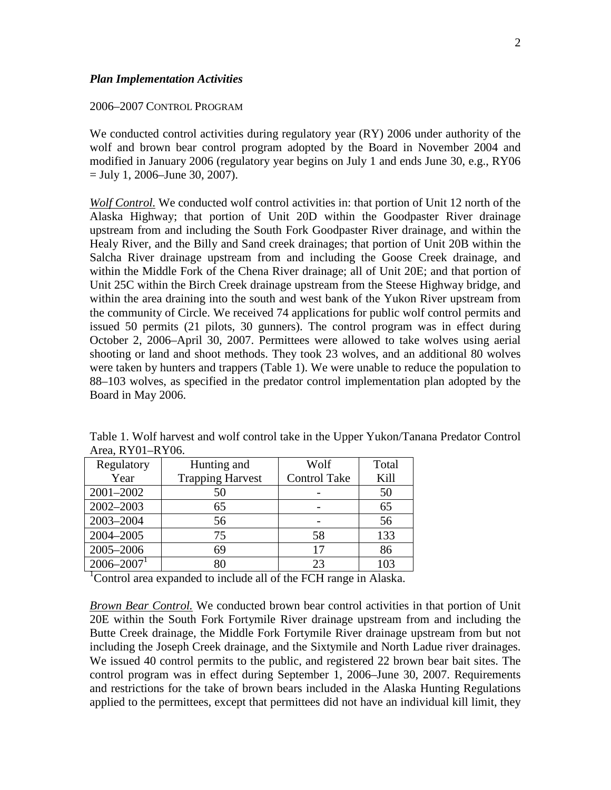#### 2006–2007 CONTROL PROGRAM

We conducted control activities during regulatory year (RY) 2006 under authority of the wolf and brown bear control program adopted by the Board in November 2004 and modified in January 2006 (regulatory year begins on July 1 and ends June 30, e.g., RY06  $=$  July 1, 2006–June 30, 2007).

*Wolf Control.* We conducted wolf control activities in: that portion of Unit 12 north of the Alaska Highway; that portion of Unit 20D within the Goodpaster River drainage upstream from and including the South Fork Goodpaster River drainage, and within the Healy River, and the Billy and Sand creek drainages; that portion of Unit 20B within the Salcha River drainage upstream from and including the Goose Creek drainage, and within the Middle Fork of the Chena River drainage; all of Unit 20E; and that portion of Unit 25C within the Birch Creek drainage upstream from the Steese Highway bridge, and within the area draining into the south and west bank of the Yukon River upstream from the community of Circle. We received 74 applications for public wolf control permits and issued 50 permits (21 pilots, 30 gunners). The control program was in effect during October 2, 2006–April 30, 2007. Permittees were allowed to take wolves using aerial shooting or land and shoot methods. They took 23 wolves, and an additional 80 wolves were taken by hunters and trappers (Table 1). We were unable to reduce the population to 88–103 wolves, as specified in the predator control implementation plan adopted by the Board in May 2006.

| Regulatory                 | Hunting and             | Wolf                | Total |
|----------------------------|-------------------------|---------------------|-------|
| Year                       | <b>Trapping Harvest</b> | <b>Control Take</b> | Kill  |
| 2001-2002                  | 50                      |                     | 50    |
| 2002-2003                  | 65                      |                     | 65    |
| 2003-2004                  | 56                      |                     | 56    |
| 2004-2005                  | 75                      | 58                  | 133   |
| 2005-2006                  | 69                      | 17                  | 86    |
| $2006 - 2007$ <sup>1</sup> |                         | 23                  | 103   |

Table 1. Wolf harvest and wolf control take in the Upper Yukon/Tanana Predator Control Area, RY01–RY06.

<sup>1</sup>Control area expanded to include all of the FCH range in Alaska.

*Brown Bear Control.* We conducted brown bear control activities in that portion of Unit 20E within the South Fork Fortymile River drainage upstream from and including the Butte Creek drainage, the Middle Fork Fortymile River drainage upstream from but not including the Joseph Creek drainage, and the Sixtymile and North Ladue river drainages. We issued 40 control permits to the public, and registered 22 brown bear bait sites. The control program was in effect during September 1, 2006–June 30, 2007. Requirements and restrictions for the take of brown bears included in the Alaska Hunting Regulations applied to the permittees, except that permittees did not have an individual kill limit, they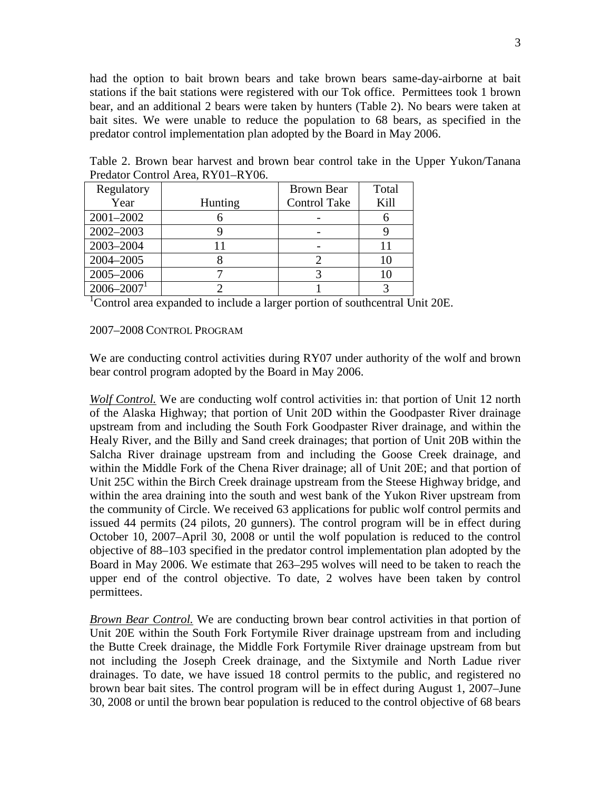had the option to bait brown bears and take brown bears same-day-airborne at bait stations if the bait stations were registered with our Tok office. Permittees took 1 brown bear, and an additional 2 bears were taken by hunters (Table 2). No bears were taken at bait sites. We were unable to reduce the population to 68 bears, as specified in the predator control implementation plan adopted by the Board in May 2006.

Table 2. Brown bear harvest and brown bear control take in the Upper Yukon/Tanana Predator Control Area, RY01–RY06.

| Regulatory                 |         | <b>Brown Bear</b>   | Total |
|----------------------------|---------|---------------------|-------|
| Year                       | Hunting | <b>Control Take</b> | Kill  |
| 2001-2002                  |         |                     |       |
| 2002-2003                  |         |                     |       |
| 2003-2004                  |         |                     |       |
| 2004-2005                  |         |                     | 10    |
| 2005-2006                  |         |                     | 10    |
| $2006 - 2007$ <sup>1</sup> |         |                     |       |

<sup>1</sup>Control area expanded to include a larger portion of southcentral Unit 20E.

#### 2007–2008 CONTROL PROGRAM

We are conducting control activities during RY07 under authority of the wolf and brown bear control program adopted by the Board in May 2006.

*Wolf Control.* We are conducting wolf control activities in: that portion of Unit 12 north of the Alaska Highway; that portion of Unit 20D within the Goodpaster River drainage upstream from and including the South Fork Goodpaster River drainage, and within the Healy River, and the Billy and Sand creek drainages; that portion of Unit 20B within the Salcha River drainage upstream from and including the Goose Creek drainage, and within the Middle Fork of the Chena River drainage; all of Unit 20E; and that portion of Unit 25C within the Birch Creek drainage upstream from the Steese Highway bridge, and within the area draining into the south and west bank of the Yukon River upstream from the community of Circle. We received 63 applications for public wolf control permits and issued 44 permits (24 pilots, 20 gunners). The control program will be in effect during October 10, 2007–April 30, 2008 or until the wolf population is reduced to the control objective of 88–103 specified in the predator control implementation plan adopted by the Board in May 2006. We estimate that 263–295 wolves will need to be taken to reach the upper end of the control objective. To date, 2 wolves have been taken by control permittees.

*Brown Bear Control.* We are conducting brown bear control activities in that portion of Unit 20E within the South Fork Fortymile River drainage upstream from and including the Butte Creek drainage, the Middle Fork Fortymile River drainage upstream from but not including the Joseph Creek drainage, and the Sixtymile and North Ladue river drainages. To date, we have issued 18 control permits to the public, and registered no brown bear bait sites. The control program will be in effect during August 1, 2007–June 30, 2008 or until the brown bear population is reduced to the control objective of 68 bears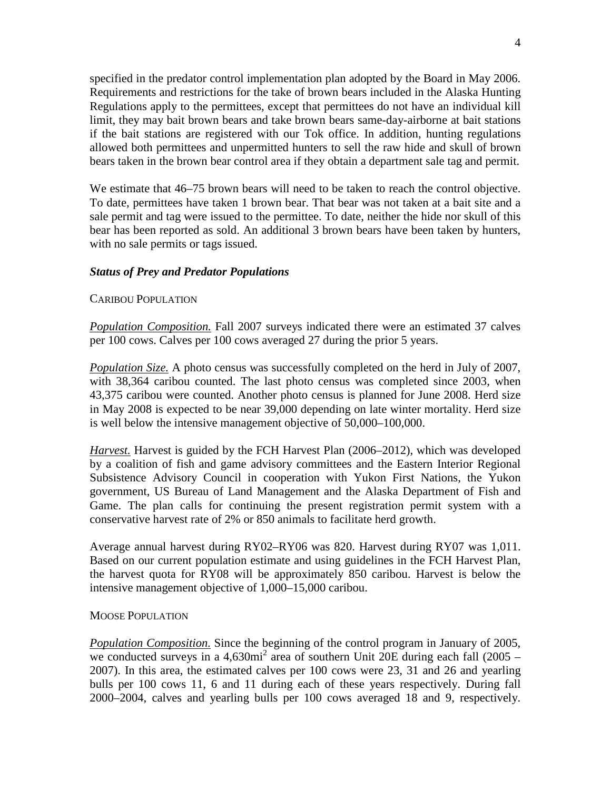specified in the predator control implementation plan adopted by the Board in May 2006. Requirements and restrictions for the take of brown bears included in the Alaska Hunting Regulations apply to the permittees, except that permittees do not have an individual kill limit, they may bait brown bears and take brown bears same-day-airborne at bait stations if the bait stations are registered with our Tok office. In addition, hunting regulations allowed both permittees and unpermitted hunters to sell the raw hide and skull of brown bears taken in the brown bear control area if they obtain a department sale tag and permit.

We estimate that  $46-75$  brown bears will need to be taken to reach the control objective. To date, permittees have taken 1 brown bear. That bear was not taken at a bait site and a sale permit and tag were issued to the permittee. To date, neither the hide nor skull of this bear has been reported as sold. An additional 3 brown bears have been taken by hunters, with no sale permits or tags issued.

### *Status of Prey and Predator Populations*

#### CARIBOU POPULATION

*Population Composition.* Fall 2007 surveys indicated there were an estimated 37 calves per 100 cows. Calves per 100 cows averaged 27 during the prior 5 years.

*Population Size.* A photo census was successfully completed on the herd in July of 2007, with 38,364 caribou counted. The last photo census was completed since 2003, when 43,375 caribou were counted. Another photo census is planned for June 2008. Herd size in May 2008 is expected to be near 39,000 depending on late winter mortality. Herd size is well below the intensive management objective of 50,000–100,000.

*Harvest.* Harvest is guided by the FCH Harvest Plan (2006–2012), which was developed by a coalition of fish and game advisory committees and the Eastern Interior Regional Subsistence Advisory Council in cooperation with Yukon First Nations, the Yukon government, US Bureau of Land Management and the Alaska Department of Fish and Game. The plan calls for continuing the present registration permit system with a conservative harvest rate of 2% or 850 animals to facilitate herd growth.

Average annual harvest during RY02–RY06 was 820. Harvest during RY07 was 1,011. Based on our current population estimate and using guidelines in the FCH Harvest Plan, the harvest quota for RY08 will be approximately 850 caribou. Harvest is below the intensive management objective of 1,000–15,000 caribou.

#### MOOSE POPULATION

*Population Composition.* Since the beginning of the control program in January of 2005, we conducted surveys in a  $4,630\text{mi}^2$  area of southern Unit 20E during each fall (2005 – 2007). In this area, the estimated calves per 100 cows were 23, 31 and 26 and yearling bulls per 100 cows 11, 6 and 11 during each of these years respectively. During fall 2000–2004, calves and yearling bulls per 100 cows averaged 18 and 9, respectively.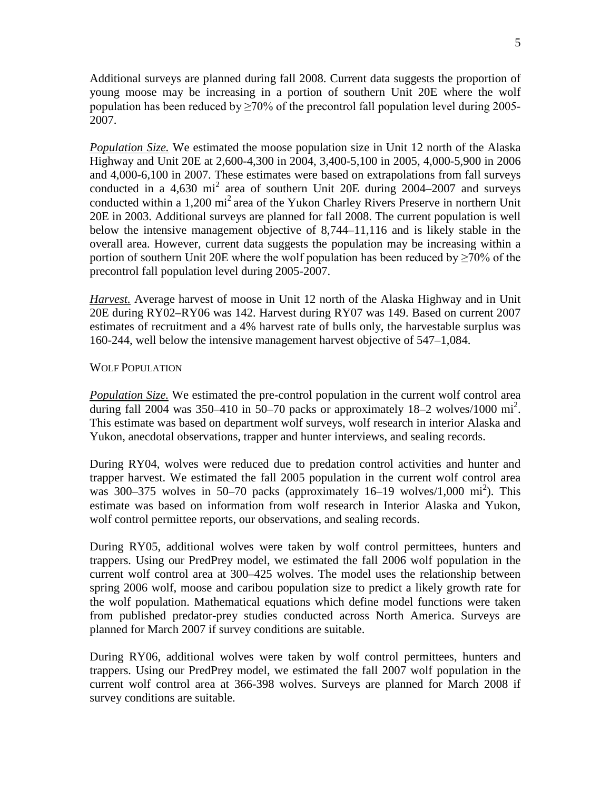Additional surveys are planned during fall 2008. Current data suggests the proportion of young moose may be increasing in a portion of southern Unit 20E where the wolf population has been reduced by  $\geq 70\%$  of the precontrol fall population level during 2005-2007.

*Population Size.* We estimated the moose population size in Unit 12 north of the Alaska Highway and Unit 20E at 2,600-4,300 in 2004, 3,400-5,100 in 2005, 4,000-5,900 in 2006 and 4,000-6,100 in 2007. These estimates were based on extrapolations from fall surveys conducted in a 4,630 mi<sup>2</sup> area of southern Unit 20E during 2004–2007 and surveys conducted within a 1,200  $\text{mi}^2$  area of the Yukon Charley Rivers Preserve in northern Unit 20E in 2003. Additional surveys are planned for fall 2008. The current population is well below the intensive management objective of 8,744–11,116 and is likely stable in the overall area. However, current data suggests the population may be increasing within a portion of southern Unit 20E where the wolf population has been reduced by  $\geq$ 70% of the precontrol fall population level during 2005-2007.

*Harvest.* Average harvest of moose in Unit 12 north of the Alaska Highway and in Unit 20E during RY02–RY06 was 142. Harvest during RY07 was 149. Based on current 2007 estimates of recruitment and a 4% harvest rate of bulls only, the harvestable surplus was 160-244, well below the intensive management harvest objective of 547–1,084.

### WOLF POPULATION

*Population Size.* We estimated the pre-control population in the current wolf control area during fall 2004 was 350-410 in 50-70 packs or approximately  $18-2$  wolves/1000 mi<sup>2</sup>. This estimate was based on department wolf surveys, wolf research in interior Alaska and Yukon, anecdotal observations, trapper and hunter interviews, and sealing records.

During RY04, wolves were reduced due to predation control activities and hunter and trapper harvest. We estimated the fall 2005 population in the current wolf control area was 300–375 wolves in 50–70 packs (approximately 16–19 wolves/1,000 mi<sup>2</sup>). This estimate was based on information from wolf research in Interior Alaska and Yukon, wolf control permittee reports, our observations, and sealing records.

During RY05, additional wolves were taken by wolf control permittees, hunters and trappers. Using our PredPrey model, we estimated the fall 2006 wolf population in the current wolf control area at 300–425 wolves. The model uses the relationship between spring 2006 wolf, moose and caribou population size to predict a likely growth rate for the wolf population. Mathematical equations which define model functions were taken from published predator-prey studies conducted across North America. Surveys are planned for March 2007 if survey conditions are suitable.

During RY06, additional wolves were taken by wolf control permittees, hunters and trappers. Using our PredPrey model, we estimated the fall 2007 wolf population in the current wolf control area at 366-398 wolves. Surveys are planned for March 2008 if survey conditions are suitable.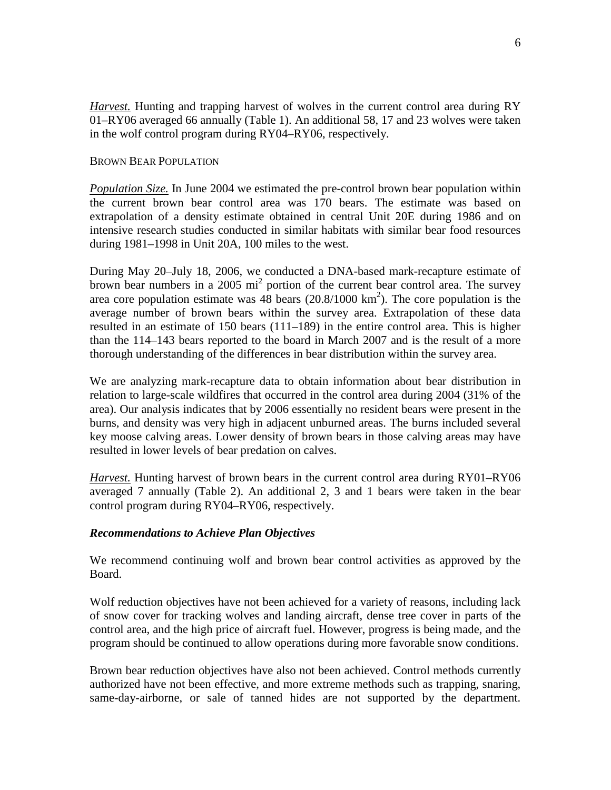*Harvest.* Hunting and trapping harvest of wolves in the current control area during RY 01–RY06 averaged 66 annually (Table 1). An additional 58, 17 and 23 wolves were taken in the wolf control program during RY04–RY06, respectively.

### BROWN BEAR POPULATION

*Population Size.* In June 2004 we estimated the pre-control brown bear population within the current brown bear control area was 170 bears. The estimate was based on extrapolation of a density estimate obtained in central Unit 20E during 1986 and on intensive research studies conducted in similar habitats with similar bear food resources during 1981–1998 in Unit 20A, 100 miles to the west.

During May 20–July 18, 2006, we conducted a DNA-based mark-recapture estimate of brown bear numbers in a 2005 mi<sup>2</sup> portion of the current bear control area. The survey area core population estimate was  $48$  bears  $(20.8/1000 \text{ km}^2)$ . The core population is the average number of brown bears within the survey area. Extrapolation of these data resulted in an estimate of 150 bears (111–189) in the entire control area. This is higher than the 114–143 bears reported to the board in March 2007 and is the result of a more thorough understanding of the differences in bear distribution within the survey area.

We are analyzing mark-recapture data to obtain information about bear distribution in relation to large-scale wildfires that occurred in the control area during 2004 (31% of the area). Our analysis indicates that by 2006 essentially no resident bears were present in the burns, and density was very high in adjacent unburned areas. The burns included several key moose calving areas. Lower density of brown bears in those calving areas may have resulted in lower levels of bear predation on calves.

*Harvest.* Hunting harvest of brown bears in the current control area during RY01–RY06 averaged 7 annually (Table 2). An additional 2, 3 and 1 bears were taken in the bear control program during RY04–RY06, respectively.

## *Recommendations to Achieve Plan Objectives*

We recommend continuing wolf and brown bear control activities as approved by the Board.

Wolf reduction objectives have not been achieved for a variety of reasons, including lack of snow cover for tracking wolves and landing aircraft, dense tree cover in parts of the control area, and the high price of aircraft fuel. However, progress is being made, and the program should be continued to allow operations during more favorable snow conditions.

Brown bear reduction objectives have also not been achieved. Control methods currently authorized have not been effective, and more extreme methods such as trapping, snaring, same-day-airborne, or sale of tanned hides are not supported by the department.